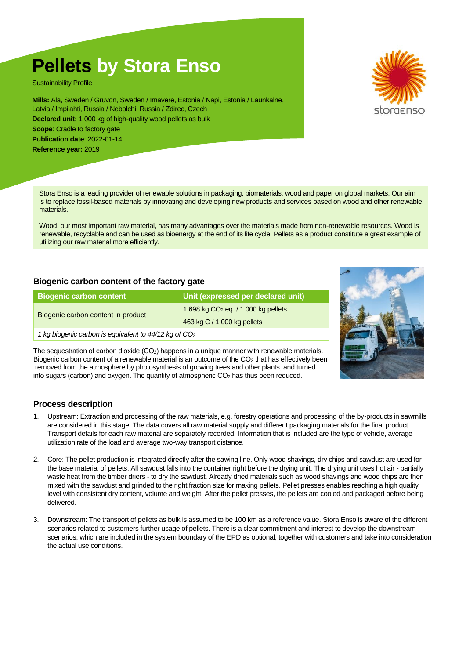# **Pellets by Stora Enso**

Sustainability Profile

**Mills:** Ala, Sweden / Gruvön, Sweden / Imavere, Estonia / Näpi, Estonia / Launkalne, Latvia / Impilahti, Russia / Nebolchi, Russia / Zdirec, Czech **Declared unit:** 1 000 kg of high-quality wood pellets as bulk **Scope:** Cradle to factory gate **Publication date**: 2022-01-14 **Reference year:** 2019

Stora Enso is a leading provider of renewable solutions in packaging, biomaterials, wood and paper on global markets. Our aim is to replace fossil-based materials by innovating and developing new products and services based on wood and other renewable materials.

Wood, our most important raw material, has many advantages over the materials made from non-renewable resources. Wood is renewable, recyclable and can be used as bioenergy at the end of its life cycle. Pellets as a product constitute a great example of utilizing our raw material more efficiently.

## **Biogenic carbon content of the factory gate**

| <b>Biogenic carbon content</b>                                    | Unit (expressed per declared unit)    |  |  |
|-------------------------------------------------------------------|---------------------------------------|--|--|
| Biogenic carbon content in product                                | 1 698 kg $CO2$ eq. / 1 000 kg pellets |  |  |
|                                                                   | 463 kg C / 1 000 kg pellets           |  |  |
| 1 kg biogenic carbon is equivalent to 44/12 kg of CO <sub>2</sub> |                                       |  |  |

The sequestration of carbon dioxide (CO<sub>2</sub>) happens in a unique manner with renewable materials. Biogenic carbon content of a renewable material is an outcome of the CO<sub>2</sub> that has effectively been removed from the atmosphere by photosynthesis of growing trees and other plants, and turned into sugars (carbon) and oxygen. The quantity of atmospheric CO<sup>2</sup> has thus been reduced.

## **Process description**

- 1. Upstream: Extraction and processing of the raw materials, e.g. forestry operations and processing of the by-products in sawmills are considered in this stage. The data covers all raw material supply and different packaging materials for the final product. Transport details for each raw material are separately recorded. Information that is included are the type of vehicle, average utilization rate of the load and average two-way transport distance.
- 2. Core: The pellet production is integrated directly after the sawing line. Only wood shavings, dry chips and sawdust are used for the base material of pellets. All sawdust falls into the container right before the drying unit. The drying unit uses hot air - partially waste heat from the timber driers - to dry the sawdust. Already dried materials such as wood shavings and wood chips are then mixed with the sawdust and grinded to the right fraction size for making pellets. Pellet presses enables reaching a high quality level with consistent dry content, volume and weight. After the pellet presses, the pellets are cooled and packaged before being delivered.
- 3. Downstream: The transport of pellets as bulk is assumed to be 100 km as a reference value. Stora Enso is aware of the different scenarios related to customers further usage of pellets. There is a clear commitment and interest to develop the downstream scenarios, which are included in the system boundary of the EPD as optional, together with customers and take into consideration the actual use conditions.